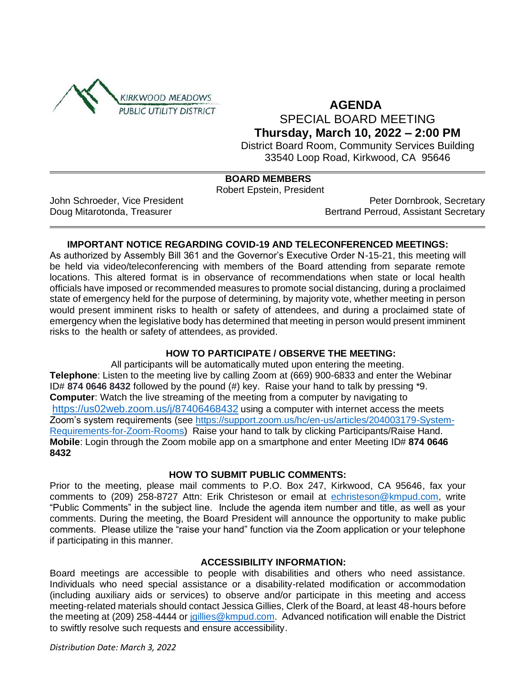

# **AGENDA**  SPECIAL BOARD MEETING

**Thursday, March 10, 2022 – 2:00 PM**

District Board Room, Community Services Building 33540 Loop Road, Kirkwood, CA 95646

# **BOARD MEMBERS**

Robert Epstein, President

John Schroeder, Vice President **Peter Dornbrook, Secretary** Peter Dornbrook, Secretary Doug Mitarotonda, Treasurer **Bertrand Perroud, Assistant Secretary** Bertrand Perroud, Assistant Secretary

### **IMPORTANT NOTICE REGARDING COVID-19 AND TELECONFERENCED MEETINGS:**

As authorized by Assembly Bill 361 and the Governor's Executive Order N-15-21, this meeting will be held via video/teleconferencing with members of the Board attending from separate remote locations. This altered format is in observance of recommendations when state or local health officials have imposed or recommended measures to promote social distancing, during a proclaimed state of emergency held for the purpose of determining, by majority vote, whether meeting in person would present imminent risks to health or safety of attendees, and during a proclaimed state of emergency when the legislative body has determined that meeting in person would present imminent risks to the health or safety of attendees, as provided.

### **HOW TO PARTICIPATE / OBSERVE THE MEETING:**

All participants will be automatically muted upon entering the meeting. **Telephone**: Listen to the meeting live by calling Zoom at (669) 900-6833 and enter the Webinar ID# **874 0646 8432** followed by the pound (#) key. Raise your hand to talk by pressing \*9. **Computer**: Watch the live streaming of the meeting from a computer by navigating to <https://us02web.zoom.us/j/87406468432> using a computer with internet access the meets Zoom's system requirements (see [https://support.zoom.us/hc/en-us/articles/204003179-System-](https://support.zoom.us/hc/en-us/articles/204003179-System-Requirements-for-Zoom-Rooms)[Requirements-for-Zoom-Rooms\)](https://support.zoom.us/hc/en-us/articles/204003179-System-Requirements-for-Zoom-Rooms) Raise your hand to talk by clicking Participants/Raise Hand. **Mobile**: Login through the Zoom mobile app on a smartphone and enter Meeting ID# **874 0646 8432**

### **HOW TO SUBMIT PUBLIC COMMENTS:**

Prior to the meeting, please mail comments to P.O. Box 247, Kirkwood, CA 95646, fax your comments to (209) 258-8727 Attn: Erik Christeson or email at [echristeson@kmpud.com,](mailto:echristeson@kmpud.com) write "Public Comments" in the subject line. Include the agenda item number and title, as well as your comments. During the meeting, the Board President will announce the opportunity to make public comments. Please utilize the "raise your hand" function via the Zoom application or your telephone if participating in this manner.

### **ACCESSIBILITY INFORMATION:**

Board meetings are accessible to people with disabilities and others who need assistance. Individuals who need special assistance or a disability-related modification or accommodation (including auxiliary aids or services) to observe and/or participate in this meeting and access meeting-related materials should contact Jessica Gillies, Clerk of the Board, at least 48-hours before the meeting at (209) 258-4444 or [jgillies@kmpud.com.](mailto:jgillies@kmpud.com) Advanced notification will enable the District to swiftly resolve such requests and ensure accessibility.

*Distribution Date: March 3, 2022*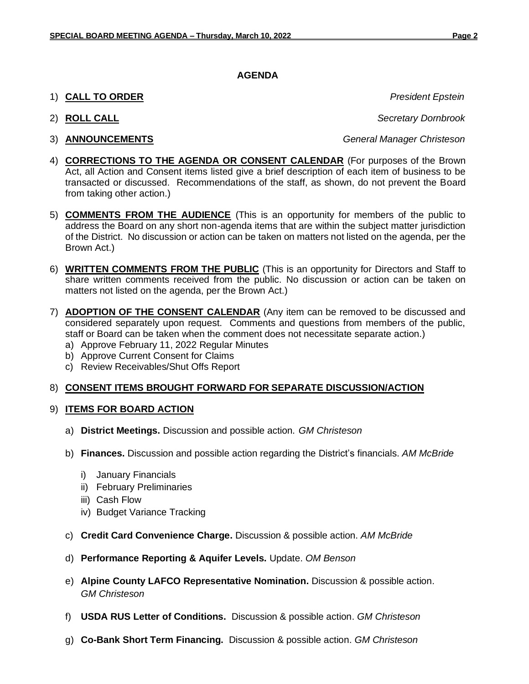### **AGENDA**

- 1) **CALL TO ORDER** *President Epstein*
- 
- 

2) **ROLL CALL** *Secretary Dornbrook*

3) **ANNOUNCEMENTS** *General Manager Christeson*

- 4) **CORRECTIONS TO THE AGENDA OR CONSENT CALENDAR** (For purposes of the Brown Act, all Action and Consent items listed give a brief description of each item of business to be transacted or discussed. Recommendations of the staff, as shown, do not prevent the Board from taking other action.)
- 5) **COMMENTS FROM THE AUDIENCE** (This is an opportunity for members of the public to address the Board on any short non-agenda items that are within the subject matter jurisdiction of the District. No discussion or action can be taken on matters not listed on the agenda, per the Brown Act.)
- 6) **WRITTEN COMMENTS FROM THE PUBLIC** (This is an opportunity for Directors and Staff to share written comments received from the public. No discussion or action can be taken on matters not listed on the agenda, per the Brown Act.)
- 7) **ADOPTION OF THE CONSENT CALENDAR** (Any item can be removed to be discussed and considered separately upon request. Comments and questions from members of the public, staff or Board can be taken when the comment does not necessitate separate action.)
	- a) Approve February 11, 2022 Regular Minutes
	- b) Approve Current Consent for Claims
	- c) Review Receivables/Shut Offs Report

# 8) **CONSENT ITEMS BROUGHT FORWARD FOR SEPARATE DISCUSSION/ACTION**

### 9) **ITEMS FOR BOARD ACTION**

- a) **District Meetings.** Discussion and possible action. *GM Christeson*
- b) **Finances.** Discussion and possible action regarding the District's financials. *AM McBride*
	- i) January Financials
	- ii) February Preliminaries
	- iii) Cash Flow
	- iv) Budget Variance Tracking
- c) **Credit Card Convenience Charge.** Discussion & possible action. *AM McBride*
- d) **Performance Reporting & Aquifer Levels.** Update. *OM Benson*
- e) **Alpine County LAFCO Representative Nomination.** Discussion & possible action. *GM Christeson*
- f) **USDA RUS Letter of Conditions.** Discussion & possible action. *GM Christeson*
- g) **Co-Bank Short Term Financing.** Discussion & possible action. *GM Christeson*